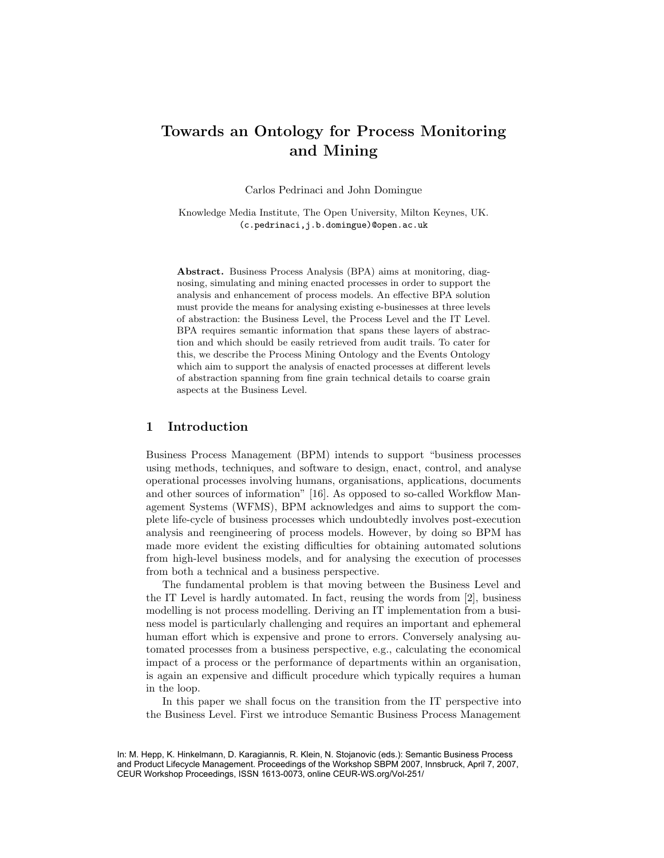# Towards an Ontology for Process Monitoring and Mining

Carlos Pedrinaci and John Domingue

Knowledge Media Institute, The Open University, Milton Keynes, UK. (c.pedrinaci,j.b.domingue)@open.ac.uk

Abstract. Business Process Analysis (BPA) aims at monitoring, diagnosing, simulating and mining enacted processes in order to support the analysis and enhancement of process models. An effective BPA solution must provide the means for analysing existing e-businesses at three levels of abstraction: the Business Level, the Process Level and the IT Level. BPA requires semantic information that spans these layers of abstraction and which should be easily retrieved from audit trails. To cater for this, we describe the Process Mining Ontology and the Events Ontology which aim to support the analysis of enacted processes at different levels of abstraction spanning from fine grain technical details to coarse grain aspects at the Business Level.

# 1 Introduction

Business Process Management (BPM) intends to support "business processes using methods, techniques, and software to design, enact, control, and analyse operational processes involving humans, organisations, applications, documents and other sources of information" [16]. As opposed to so-called Workflow Management Systems (WFMS), BPM acknowledges and aims to support the complete life-cycle of business processes which undoubtedly involves post-execution analysis and reengineering of process models. However, by doing so BPM has made more evident the existing difficulties for obtaining automated solutions from high-level business models, and for analysing the execution of processes from both a technical and a business perspective.

The fundamental problem is that moving between the Business Level and the IT Level is hardly automated. In fact, reusing the words from [2], business modelling is not process modelling. Deriving an IT implementation from a business model is particularly challenging and requires an important and ephemeral human effort which is expensive and prone to errors. Conversely analysing automated processes from a business perspective, e.g., calculating the economical impact of a process or the performance of departments within an organisation, is again an expensive and difficult procedure which typically requires a human in the loop.

In this paper we shall focus on the transition from the IT perspective into the Business Level. First we introduce Semantic Business Process Management

In: M. Hepp, K. Hinkelmann, D. Karagiannis, R. Klein, N. Stojanovic (eds.): Semantic Business Process and Product Lifecycle Management. Proceedings of the Workshop SBPM 2007, Innsbruck, April 7, 2007, CEUR Workshop Proceedings, ISSN 1613-0073, online CEUR-WS.org/Vol-251/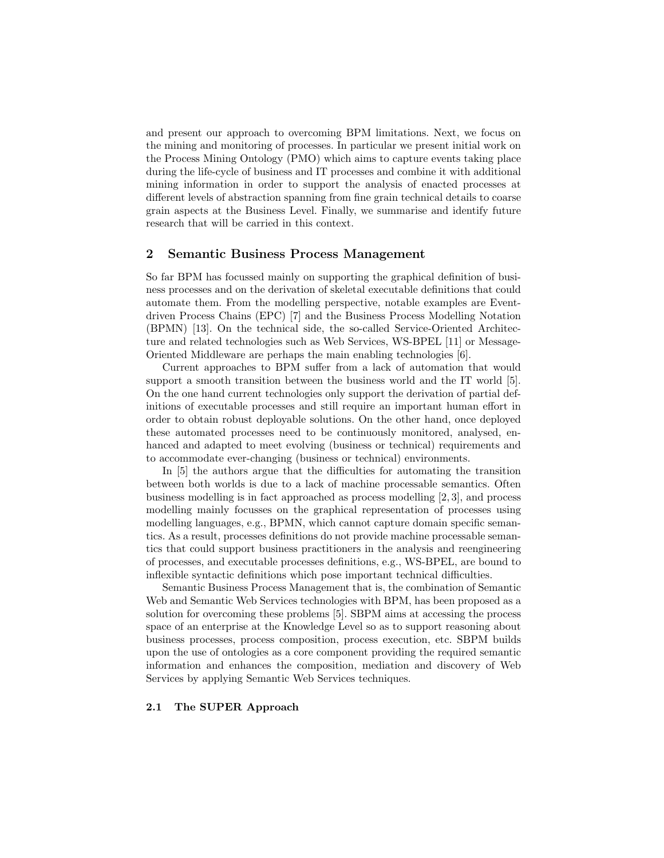and present our approach to overcoming BPM limitations. Next, we focus on the mining and monitoring of processes. In particular we present initial work on the Process Mining Ontology (PMO) which aims to capture events taking place during the life-cycle of business and IT processes and combine it with additional mining information in order to support the analysis of enacted processes at different levels of abstraction spanning from fine grain technical details to coarse grain aspects at the Business Level. Finally, we summarise and identify future research that will be carried in this context.

### 2 Semantic Business Process Management

So far BPM has focussed mainly on supporting the graphical definition of business processes and on the derivation of skeletal executable definitions that could automate them. From the modelling perspective, notable examples are Eventdriven Process Chains (EPC) [7] and the Business Process Modelling Notation (BPMN) [13]. On the technical side, the so-called Service-Oriented Architecture and related technologies such as Web Services, WS-BPEL [11] or Message-Oriented Middleware are perhaps the main enabling technologies [6].

Current approaches to BPM suffer from a lack of automation that would support a smooth transition between the business world and the IT world [5]. On the one hand current technologies only support the derivation of partial definitions of executable processes and still require an important human effort in order to obtain robust deployable solutions. On the other hand, once deployed these automated processes need to be continuously monitored, analysed, enhanced and adapted to meet evolving (business or technical) requirements and to accommodate ever-changing (business or technical) environments.

In [5] the authors argue that the difficulties for automating the transition between both worlds is due to a lack of machine processable semantics. Often business modelling is in fact approached as process modelling [2, 3], and process modelling mainly focusses on the graphical representation of processes using modelling languages, e.g., BPMN, which cannot capture domain specific semantics. As a result, processes definitions do not provide machine processable semantics that could support business practitioners in the analysis and reengineering of processes, and executable processes definitions, e.g., WS-BPEL, are bound to inflexible syntactic definitions which pose important technical difficulties.

Semantic Business Process Management that is, the combination of Semantic Web and Semantic Web Services technologies with BPM, has been proposed as a solution for overcoming these problems [5]. SBPM aims at accessing the process space of an enterprise at the Knowledge Level so as to support reasoning about business processes, process composition, process execution, etc. SBPM builds upon the use of ontologies as a core component providing the required semantic information and enhances the composition, mediation and discovery of Web Services by applying Semantic Web Services techniques.

#### 2.1 The SUPER Approach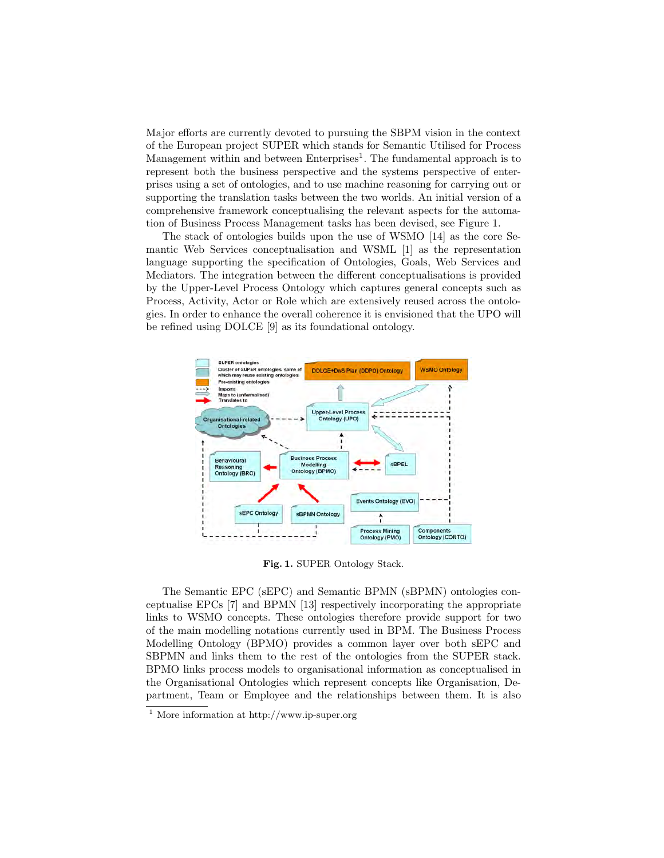Major efforts are currently devoted to pursuing the SBPM vision in the context of the European project SUPER which stands for Semantic Utilised for Process Management within and between Enterprises<sup>1</sup>. The fundamental approach is to represent both the business perspective and the systems perspective of enterprises using a set of ontologies, and to use machine reasoning for carrying out or supporting the translation tasks between the two worlds. An initial version of a comprehensive framework conceptualising the relevant aspects for the automation of Business Process Management tasks has been devised, see Figure 1.

The stack of ontologies builds upon the use of WSMO [14] as the core Semantic Web Services conceptualisation and WSML [1] as the representation language supporting the specification of Ontologies, Goals, Web Services and Mediators. The integration between the different conceptualisations is provided by the Upper-Level Process Ontology which captures general concepts such as Process, Activity, Actor or Role which are extensively reused across the ontologies. In order to enhance the overall coherence it is envisioned that the UPO will be refined using DOLCE [9] as its foundational ontology.



Fig. 1. SUPER Ontology Stack.

The Semantic EPC (sEPC) and Semantic BPMN (sBPMN) ontologies conceptualise EPCs [7] and BPMN [13] respectively incorporating the appropriate links to WSMO concepts. These ontologies therefore provide support for two of the main modelling notations currently used in BPM. The Business Process Modelling Ontology (BPMO) provides a common layer over both sEPC and SBPMN and links them to the rest of the ontologies from the SUPER stack. BPMO links process models to organisational information as conceptualised in the Organisational Ontologies which represent concepts like Organisation, Department, Team or Employee and the relationships between them. It is also

<sup>1</sup> More information at http://www.ip-super.org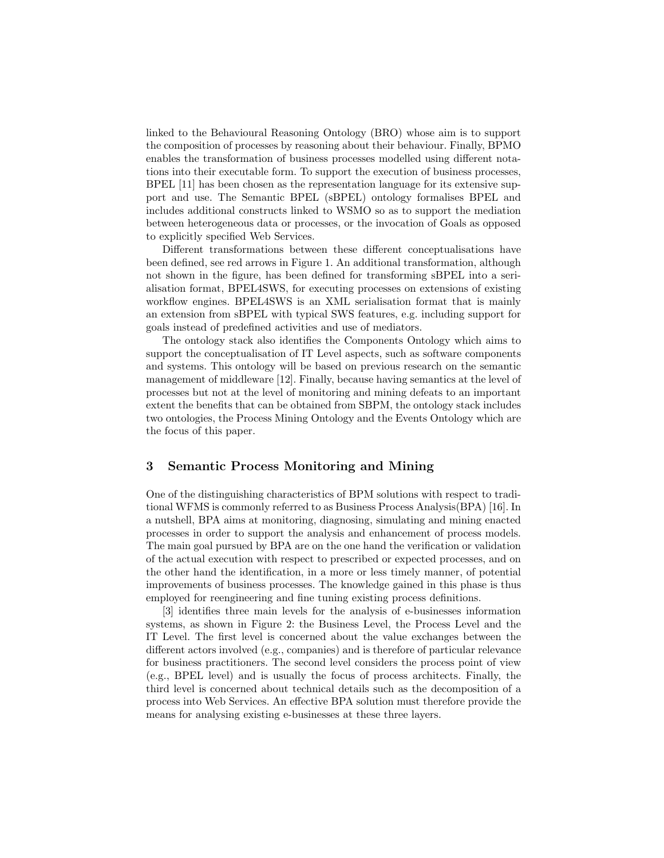linked to the Behavioural Reasoning Ontology (BRO) whose aim is to support the composition of processes by reasoning about their behaviour. Finally, BPMO enables the transformation of business processes modelled using different notations into their executable form. To support the execution of business processes, BPEL [11] has been chosen as the representation language for its extensive support and use. The Semantic BPEL (sBPEL) ontology formalises BPEL and includes additional constructs linked to WSMO so as to support the mediation between heterogeneous data or processes, or the invocation of Goals as opposed to explicitly specified Web Services.

Different transformations between these different conceptualisations have been defined, see red arrows in Figure 1. An additional transformation, although not shown in the figure, has been defined for transforming sBPEL into a serialisation format, BPEL4SWS, for executing processes on extensions of existing workflow engines. BPEL4SWS is an XML serialisation format that is mainly an extension from sBPEL with typical SWS features, e.g. including support for goals instead of predefined activities and use of mediators.

The ontology stack also identifies the Components Ontology which aims to support the conceptualisation of IT Level aspects, such as software components and systems. This ontology will be based on previous research on the semantic management of middleware [12]. Finally, because having semantics at the level of processes but not at the level of monitoring and mining defeats to an important extent the benefits that can be obtained from SBPM, the ontology stack includes two ontologies, the Process Mining Ontology and the Events Ontology which are the focus of this paper.

## 3 Semantic Process Monitoring and Mining

One of the distinguishing characteristics of BPM solutions with respect to traditional WFMS is commonly referred to as Business Process Analysis(BPA) [16]. In a nutshell, BPA aims at monitoring, diagnosing, simulating and mining enacted processes in order to support the analysis and enhancement of process models. The main goal pursued by BPA are on the one hand the verification or validation of the actual execution with respect to prescribed or expected processes, and on the other hand the identification, in a more or less timely manner, of potential improvements of business processes. The knowledge gained in this phase is thus employed for reengineering and fine tuning existing process definitions.

[3] identifies three main levels for the analysis of e-businesses information systems, as shown in Figure 2: the Business Level, the Process Level and the IT Level. The first level is concerned about the value exchanges between the different actors involved (e.g., companies) and is therefore of particular relevance for business practitioners. The second level considers the process point of view (e.g., BPEL level) and is usually the focus of process architects. Finally, the third level is concerned about technical details such as the decomposition of a process into Web Services. An effective BPA solution must therefore provide the means for analysing existing e-businesses at these three layers.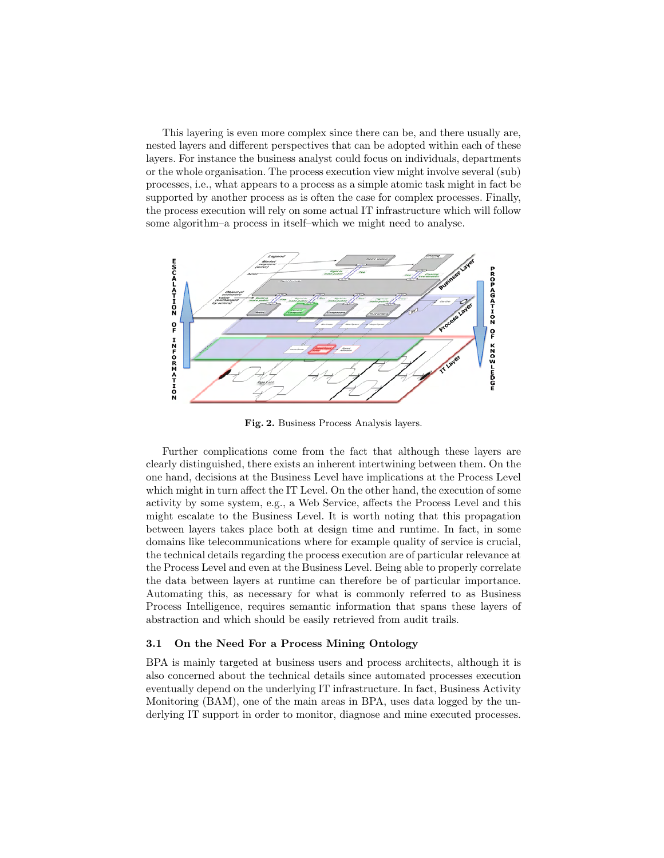This layering is even more complex since there can be, and there usually are, nested layers and different perspectives that can be adopted within each of these layers. For instance the business analyst could focus on individuals, departments or the whole organisation. The process execution view might involve several (sub) processes, i.e., what appears to a process as a simple atomic task might in fact be supported by another process as is often the case for complex processes. Finally, the process execution will rely on some actual IT infrastructure which will follow some algorithm–a process in itself–which we might need to analyse.



Fig. 2. Business Process Analysis layers.

Further complications come from the fact that although these layers are clearly distinguished, there exists an inherent intertwining between them. On the one hand, decisions at the Business Level have implications at the Process Level which might in turn affect the IT Level. On the other hand, the execution of some activity by some system, e.g., a Web Service, affects the Process Level and this might escalate to the Business Level. It is worth noting that this propagation between layers takes place both at design time and runtime. In fact, in some domains like telecommunications where for example quality of service is crucial, the technical details regarding the process execution are of particular relevance at the Process Level and even at the Business Level. Being able to properly correlate the data between layers at runtime can therefore be of particular importance. Automating this, as necessary for what is commonly referred to as Business Process Intelligence, requires semantic information that spans these layers of abstraction and which should be easily retrieved from audit trails.

#### 3.1 On the Need For a Process Mining Ontology

BPA is mainly targeted at business users and process architects, although it is also concerned about the technical details since automated processes execution eventually depend on the underlying IT infrastructure. In fact, Business Activity Monitoring (BAM), one of the main areas in BPA, uses data logged by the underlying IT support in order to monitor, diagnose and mine executed processes.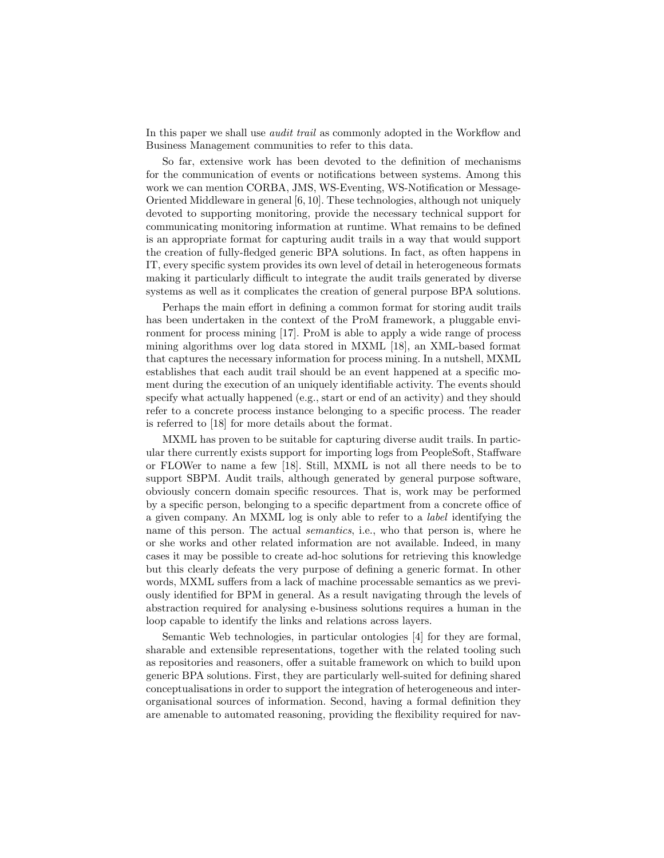In this paper we shall use *audit trail* as commonly adopted in the Workflow and Business Management communities to refer to this data.

So far, extensive work has been devoted to the definition of mechanisms for the communication of events or notifications between systems. Among this work we can mention CORBA, JMS, WS-Eventing, WS-Notification or Message-Oriented Middleware in general [6, 10]. These technologies, although not uniquely devoted to supporting monitoring, provide the necessary technical support for communicating monitoring information at runtime. What remains to be defined is an appropriate format for capturing audit trails in a way that would support the creation of fully-fledged generic BPA solutions. In fact, as often happens in IT, every specific system provides its own level of detail in heterogeneous formats making it particularly difficult to integrate the audit trails generated by diverse systems as well as it complicates the creation of general purpose BPA solutions.

Perhaps the main effort in defining a common format for storing audit trails has been undertaken in the context of the ProM framework, a pluggable environment for process mining [17]. ProM is able to apply a wide range of process mining algorithms over log data stored in MXML [18], an XML-based format that captures the necessary information for process mining. In a nutshell, MXML establishes that each audit trail should be an event happened at a specific moment during the execution of an uniquely identifiable activity. The events should specify what actually happened (e.g., start or end of an activity) and they should refer to a concrete process instance belonging to a specific process. The reader is referred to [18] for more details about the format.

MXML has proven to be suitable for capturing diverse audit trails. In particular there currently exists support for importing logs from PeopleSoft, Staffware or FLOWer to name a few [18]. Still, MXML is not all there needs to be to support SBPM. Audit trails, although generated by general purpose software, obviously concern domain specific resources. That is, work may be performed by a specific person, belonging to a specific department from a concrete office of a given company. An MXML log is only able to refer to a label identifying the name of this person. The actual semantics, i.e., who that person is, where he or she works and other related information are not available. Indeed, in many cases it may be possible to create ad-hoc solutions for retrieving this knowledge but this clearly defeats the very purpose of defining a generic format. In other words, MXML suffers from a lack of machine processable semantics as we previously identified for BPM in general. As a result navigating through the levels of abstraction required for analysing e-business solutions requires a human in the loop capable to identify the links and relations across layers.

Semantic Web technologies, in particular ontologies [4] for they are formal, sharable and extensible representations, together with the related tooling such as repositories and reasoners, offer a suitable framework on which to build upon generic BPA solutions. First, they are particularly well-suited for defining shared conceptualisations in order to support the integration of heterogeneous and interorganisational sources of information. Second, having a formal definition they are amenable to automated reasoning, providing the flexibility required for nav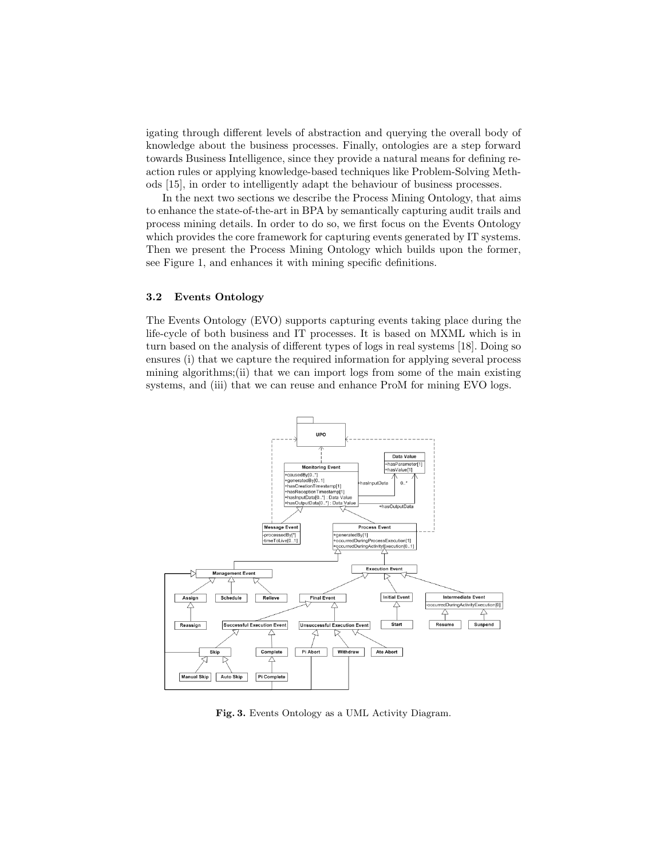igating through different levels of abstraction and querying the overall body of knowledge about the business processes. Finally, ontologies are a step forward towards Business Intelligence, since they provide a natural means for defining reaction rules or applying knowledge-based techniques like Problem-Solving Methods [15], in order to intelligently adapt the behaviour of business processes.

In the next two sections we describe the Process Mining Ontology, that aims to enhance the state-of-the-art in BPA by semantically capturing audit trails and process mining details. In order to do so, we first focus on the Events Ontology which provides the core framework for capturing events generated by IT systems. Then we present the Process Mining Ontology which builds upon the former, see Figure 1, and enhances it with mining specific definitions.

#### 3.2 Events Ontology

The Events Ontology (EVO) supports capturing events taking place during the life-cycle of both business and IT processes. It is based on MXML which is in turn based on the analysis of different types of logs in real systems [18]. Doing so ensures (i) that we capture the required information for applying several process mining algorithms;(ii) that we can import logs from some of the main existing systems, and (iii) that we can reuse and enhance ProM for mining EVO logs.



Fig. 3. Events Ontology as a UML Activity Diagram.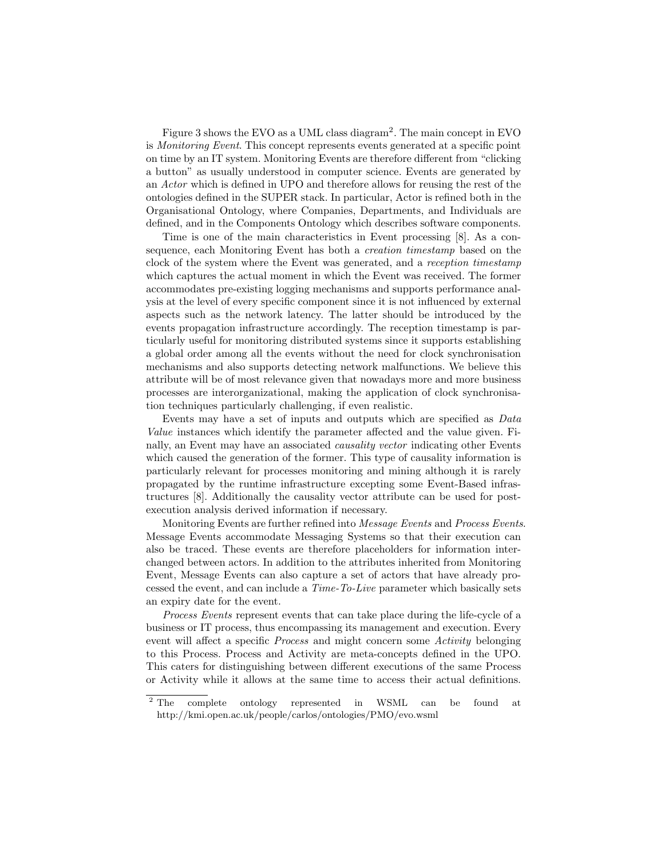Figure 3 shows the EVO as a UML class diagram<sup>2</sup>. The main concept in EVO is Monitoring Event. This concept represents events generated at a specific point on time by an IT system. Monitoring Events are therefore different from "clicking a button" as usually understood in computer science. Events are generated by an Actor which is defined in UPO and therefore allows for reusing the rest of the ontologies defined in the SUPER stack. In particular, Actor is refined both in the Organisational Ontology, where Companies, Departments, and Individuals are defined, and in the Components Ontology which describes software components.

Time is one of the main characteristics in Event processing [8]. As a consequence, each Monitoring Event has both a creation timestamp based on the clock of the system where the Event was generated, and a reception timestamp which captures the actual moment in which the Event was received. The former accommodates pre-existing logging mechanisms and supports performance analysis at the level of every specific component since it is not influenced by external aspects such as the network latency. The latter should be introduced by the events propagation infrastructure accordingly. The reception timestamp is particularly useful for monitoring distributed systems since it supports establishing a global order among all the events without the need for clock synchronisation mechanisms and also supports detecting network malfunctions. We believe this attribute will be of most relevance given that nowadays more and more business processes are interorganizational, making the application of clock synchronisation techniques particularly challenging, if even realistic.

Events may have a set of inputs and outputs which are specified as Data Value instances which identify the parameter affected and the value given. Finally, an Event may have an associated causality vector indicating other Events which caused the generation of the former. This type of causality information is particularly relevant for processes monitoring and mining although it is rarely propagated by the runtime infrastructure excepting some Event-Based infrastructures [8]. Additionally the causality vector attribute can be used for postexecution analysis derived information if necessary.

Monitoring Events are further refined into Message Events and Process Events. Message Events accommodate Messaging Systems so that their execution can also be traced. These events are therefore placeholders for information interchanged between actors. In addition to the attributes inherited from Monitoring Event, Message Events can also capture a set of actors that have already processed the event, and can include a Time-To-Live parameter which basically sets an expiry date for the event.

Process Events represent events that can take place during the life-cycle of a business or IT process, thus encompassing its management and execution. Every event will affect a specific Process and might concern some Activity belonging to this Process. Process and Activity are meta-concepts defined in the UPO. This caters for distinguishing between different executions of the same Process or Activity while it allows at the same time to access their actual definitions.

<sup>&</sup>lt;sup>2</sup> The complete ontology represented in WSML can be found at http://kmi.open.ac.uk/people/carlos/ontologies/PMO/evo.wsml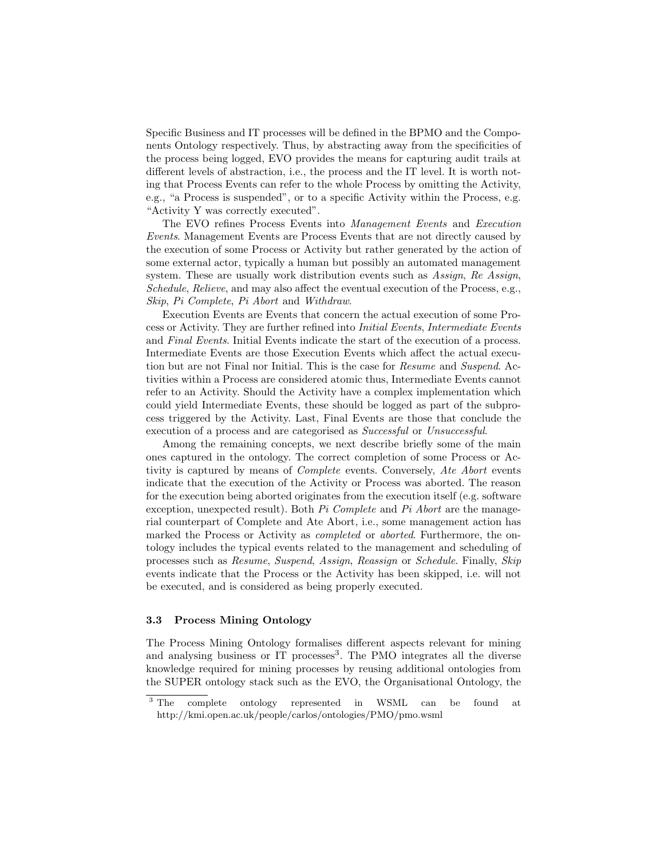Specific Business and IT processes will be defined in the BPMO and the Components Ontology respectively. Thus, by abstracting away from the specificities of the process being logged, EVO provides the means for capturing audit trails at different levels of abstraction, i.e., the process and the IT level. It is worth noting that Process Events can refer to the whole Process by omitting the Activity, e.g., "a Process is suspended", or to a specific Activity within the Process, e.g. "Activity Y was correctly executed".

The EVO refines Process Events into Management Events and Execution Events. Management Events are Process Events that are not directly caused by the execution of some Process or Activity but rather generated by the action of some external actor, typically a human but possibly an automated management system. These are usually work distribution events such as Assign, Re Assign, Schedule, Relieve, and may also affect the eventual execution of the Process, e.g., Skip, Pi Complete, Pi Abort and Withdraw.

Execution Events are Events that concern the actual execution of some Process or Activity. They are further refined into Initial Events, Intermediate Events and Final Events. Initial Events indicate the start of the execution of a process. Intermediate Events are those Execution Events which affect the actual execution but are not Final nor Initial. This is the case for Resume and Suspend. Activities within a Process are considered atomic thus, Intermediate Events cannot refer to an Activity. Should the Activity have a complex implementation which could yield Intermediate Events, these should be logged as part of the subprocess triggered by the Activity. Last, Final Events are those that conclude the execution of a process and are categorised as Successful or Unsuccessful.

Among the remaining concepts, we next describe briefly some of the main ones captured in the ontology. The correct completion of some Process or Activity is captured by means of Complete events. Conversely, Ate Abort events indicate that the execution of the Activity or Process was aborted. The reason for the execution being aborted originates from the execution itself (e.g. software exception, unexpected result). Both  $Pi$  Complete and  $Pi$  Abort are the managerial counterpart of Complete and Ate Abort, i.e., some management action has marked the Process or Activity as completed or aborted. Furthermore, the ontology includes the typical events related to the management and scheduling of processes such as Resume, Suspend, Assign, Reassign or Schedule. Finally, Skip events indicate that the Process or the Activity has been skipped, i.e. will not be executed, and is considered as being properly executed.

## 3.3 Process Mining Ontology

The Process Mining Ontology formalises different aspects relevant for mining and analysing business or IT processes<sup>3</sup>. The PMO integrates all the diverse knowledge required for mining processes by reusing additional ontologies from the SUPER ontology stack such as the EVO, the Organisational Ontology, the

<sup>&</sup>lt;sup>3</sup> The complete ontology represented in WSML can be found at http://kmi.open.ac.uk/people/carlos/ontologies/PMO/pmo.wsml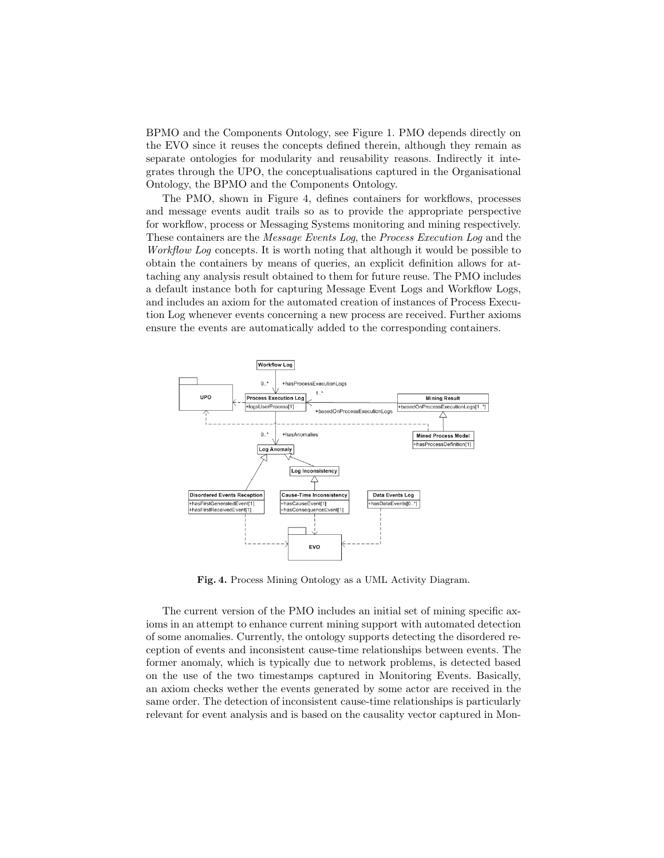BPMO and the Components Ontology, see Figure 1. PMO depends directly on the EVO since it reuses the concepts defined therein, although they remain as separate ontologies for modularity and reusability reasons. Indirectly it integrates through the UPO, the conceptualisations captured in the Organisational Ontology, the BPMO and the Components Ontology.

The PMO, shown in Figure 4, defines containers for workflows, processes and message events audit trails so as to provide the appropriate perspective for workflow, process or Messaging Systems monitoring and mining respectively. These containers are the Message Events Log, the Process Execution Log and the Workflow Log concepts. It is worth noting that although it would be possible to obtain the containers by means of queries, an explicit definition allows for attaching any analysis result obtained to them for future reuse. The PMO includes a default instance both for capturing Message Event Logs and Workflow Logs, and includes an axiom for the automated creation of instances of Process Execution Log whenever events concerning a new process are received. Further axioms ensure the events are automatically added to the corresponding containers.



Fig. 4. Process Mining Ontology as a UML Activity Diagram.

The current version of the PMO includes an initial set of mining specific axioms in an attempt to enhance current mining support with automated detection of some anomalies. Currently, the ontology supports detecting the disordered reception of events and inconsistent cause-time relationships between events. The former anomaly, which is typically due to network problems, is detected based on the use of the two timestamps captured in Monitoring Events. Basically, an axiom checks wether the events generated by some actor are received in the same order. The detection of inconsistent cause-time relationships is particularly relevant for event analysis and is based on the causality vector captured in Mon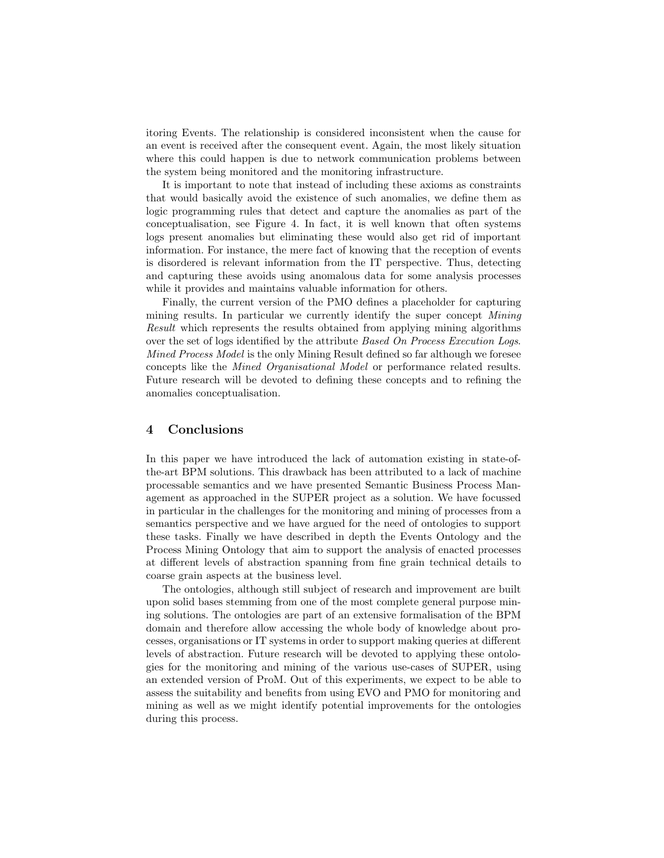itoring Events. The relationship is considered inconsistent when the cause for an event is received after the consequent event. Again, the most likely situation where this could happen is due to network communication problems between the system being monitored and the monitoring infrastructure.

It is important to note that instead of including these axioms as constraints that would basically avoid the existence of such anomalies, we define them as logic programming rules that detect and capture the anomalies as part of the conceptualisation, see Figure 4. In fact, it is well known that often systems logs present anomalies but eliminating these would also get rid of important information. For instance, the mere fact of knowing that the reception of events is disordered is relevant information from the IT perspective. Thus, detecting and capturing these avoids using anomalous data for some analysis processes while it provides and maintains valuable information for others.

Finally, the current version of the PMO defines a placeholder for capturing mining results. In particular we currently identify the super concept *Mining* Result which represents the results obtained from applying mining algorithms over the set of logs identified by the attribute Based On Process Execution Logs. Mined Process Model is the only Mining Result defined so far although we foresee concepts like the Mined Organisational Model or performance related results. Future research will be devoted to defining these concepts and to refining the anomalies conceptualisation.

# 4 Conclusions

In this paper we have introduced the lack of automation existing in state-ofthe-art BPM solutions. This drawback has been attributed to a lack of machine processable semantics and we have presented Semantic Business Process Management as approached in the SUPER project as a solution. We have focussed in particular in the challenges for the monitoring and mining of processes from a semantics perspective and we have argued for the need of ontologies to support these tasks. Finally we have described in depth the Events Ontology and the Process Mining Ontology that aim to support the analysis of enacted processes at different levels of abstraction spanning from fine grain technical details to coarse grain aspects at the business level.

The ontologies, although still subject of research and improvement are built upon solid bases stemming from one of the most complete general purpose mining solutions. The ontologies are part of an extensive formalisation of the BPM domain and therefore allow accessing the whole body of knowledge about processes, organisations or IT systems in order to support making queries at different levels of abstraction. Future research will be devoted to applying these ontologies for the monitoring and mining of the various use-cases of SUPER, using an extended version of ProM. Out of this experiments, we expect to be able to assess the suitability and benefits from using EVO and PMO for monitoring and mining as well as we might identify potential improvements for the ontologies during this process.